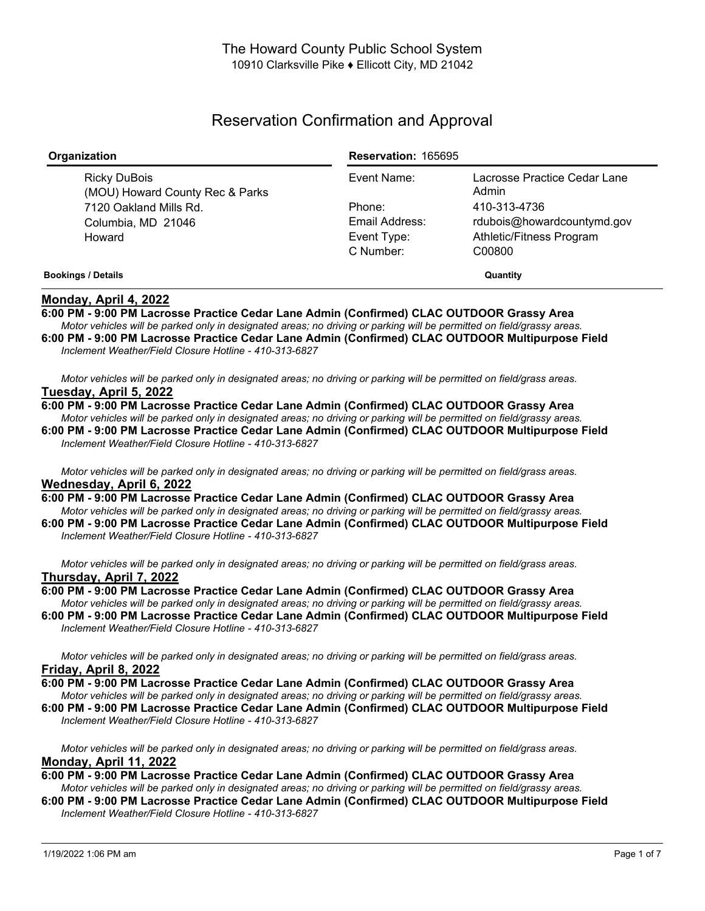# Reservation Confirmation and Approval

| Organization                                    | <b>Reservation: 165695</b> |                                       |
|-------------------------------------------------|----------------------------|---------------------------------------|
| Ricky DuBois<br>(MOU) Howard County Rec & Parks | Event Name:                | Lacrosse Practice Cedar Lane<br>Admin |
| 7120 Oakland Mills Rd.                          | Phone:                     | 410-313-4736                          |
| Columbia, MD 21046                              | Email Address:             | rdubois@howardcountymd.gov            |
| Howard                                          | Event Type:                | Athletic/Fitness Program              |
|                                                 | C Number:                  | C00800                                |
| <b>Bookings / Details</b>                       | Quantity                   |                                       |

# **Monday, April 4, 2022**

**6:00 PM - 9:00 PM Lacrosse Practice Cedar Lane Admin (Confirmed) CLAC OUTDOOR Grassy Area** Motor vehicles will be parked only in designated areas; no driving or parking will be permitted on field/grassy areas.

**6:00 PM - 9:00 PM Lacrosse Practice Cedar Lane Admin (Confirmed) CLAC OUTDOOR Multipurpose Field** *Inclement Weather/Field Closure Hotline - 410-313-6827*

Motor vehicles will be parked only in designated areas; no driving or parking will be permitted on field/grass areas. **Tuesday, April 5, 2022**

**6:00 PM - 9:00 PM Lacrosse Practice Cedar Lane Admin (Confirmed) CLAC OUTDOOR Grassy Area** Motor vehicles will be parked only in designated areas; no driving or parking will be permitted on field/grassy areas. **6:00 PM - 9:00 PM Lacrosse Practice Cedar Lane Admin (Confirmed) CLAC OUTDOOR Multipurpose Field**

Motor vehicles will be parked only in designated areas; no driving or parking will be permitted on field/grass areas. **Wednesday, April 6, 2022**

**6:00 PM - 9:00 PM Lacrosse Practice Cedar Lane Admin (Confirmed) CLAC OUTDOOR Grassy Area** Motor vehicles will be parked only in designated areas; no driving or parking will be permitted on field/grassy areas. **6:00 PM - 9:00 PM Lacrosse Practice Cedar Lane Admin (Confirmed) CLAC OUTDOOR Multipurpose Field**

*Inclement Weather/Field Closure Hotline - 410-313-6827*

*Inclement Weather/Field Closure Hotline - 410-313-6827*

Motor vehicles will be parked only in designated areas; no driving or parking will be permitted on field/grass areas. **Thursday, April 7, 2022**

**6:00 PM - 9:00 PM Lacrosse Practice Cedar Lane Admin (Confirmed) CLAC OUTDOOR Grassy Area** Motor vehicles will be parked only in designated areas; no driving or parking will be permitted on field/grassy areas. **6:00 PM - 9:00 PM Lacrosse Practice Cedar Lane Admin (Confirmed) CLAC OUTDOOR Multipurpose Field** *Inclement Weather/Field Closure Hotline - 410-313-6827*

Motor vehicles will be parked only in designated areas; no driving or parking will be permitted on field/grass areas. **Friday, April 8, 2022**

**6:00 PM - 9:00 PM Lacrosse Practice Cedar Lane Admin (Confirmed) CLAC OUTDOOR Grassy Area** Motor vehicles will be parked only in designated areas; no driving or parking will be permitted on field/grassy areas.

**6:00 PM - 9:00 PM Lacrosse Practice Cedar Lane Admin (Confirmed) CLAC OUTDOOR Multipurpose Field** *Inclement Weather/Field Closure Hotline - 410-313-6827*

Motor vehicles will be parked only in designated areas; no driving or parking will be permitted on field/grass areas. **Monday, April 11, 2022**

# **6:00 PM - 9:00 PM Lacrosse Practice Cedar Lane Admin (Confirmed) CLAC OUTDOOR Grassy Area**

Motor vehicles will be parked only in designated areas; no driving or parking will be permitted on field/grassy areas. **6:00 PM - 9:00 PM Lacrosse Practice Cedar Lane Admin (Confirmed) CLAC OUTDOOR Multipurpose Field** *Inclement Weather/Field Closure Hotline - 410-313-6827*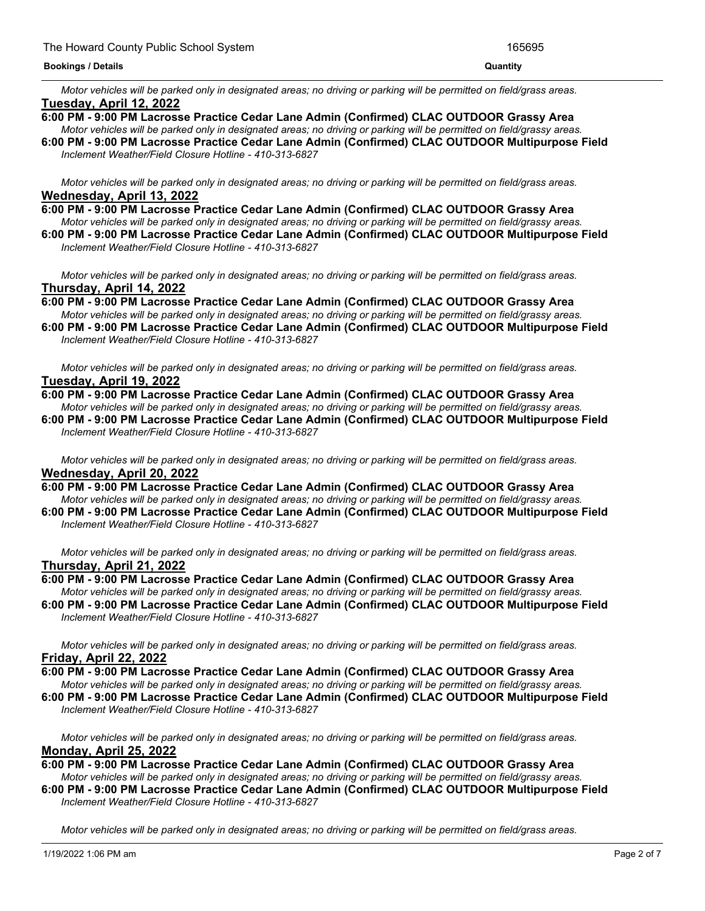#### **Bookings / Details Quantity**

Motor vehicles will be parked only in designated areas; no driving or parking will be permitted on field/grass areas. **Tuesday, April 12, 2022**

- **6:00 PM - 9:00 PM Lacrosse Practice Cedar Lane Admin (Confirmed) CLAC OUTDOOR Grassy Area**
- Motor vehicles will be parked only in designated areas; no driving or parking will be permitted on field/grassy areas. **6:00 PM - 9:00 PM Lacrosse Practice Cedar Lane Admin (Confirmed) CLAC OUTDOOR Multipurpose Field** *Inclement Weather/Field Closure Hotline - 410-313-6827*

Motor vehicles will be parked only in designated areas; no driving or parking will be permitted on field/grass areas. **Wednesday, April 13, 2022**

**6:00 PM - 9:00 PM Lacrosse Practice Cedar Lane Admin (Confirmed) CLAC OUTDOOR Grassy Area** Motor vehicles will be parked only in designated areas; no driving or parking will be permitted on field/grassy areas. **6:00 PM - 9:00 PM Lacrosse Practice Cedar Lane Admin (Confirmed) CLAC OUTDOOR Multipurpose Field**

*Inclement Weather/Field Closure Hotline - 410-313-6827*

Motor vehicles will be parked only in designated areas; no driving or parking will be permitted on field/grass areas. **Thursday, April 14, 2022**

**6:00 PM - 9:00 PM Lacrosse Practice Cedar Lane Admin (Confirmed) CLAC OUTDOOR Grassy Area** Motor vehicles will be parked only in designated areas; no driving or parking will be permitted on field/grassy areas.

**6:00 PM - 9:00 PM Lacrosse Practice Cedar Lane Admin (Confirmed) CLAC OUTDOOR Multipurpose Field** *Inclement Weather/Field Closure Hotline - 410-313-6827*

Motor vehicles will be parked only in designated areas; no driving or parking will be permitted on field/grass areas. **Tuesday, April 19, 2022**

# **6:00 PM - 9:00 PM Lacrosse Practice Cedar Lane Admin (Confirmed) CLAC OUTDOOR Grassy Area**

Motor vehicles will be parked only in designated areas: no driving or parking will be permitted on field/grassy areas. **6:00 PM - 9:00 PM Lacrosse Practice Cedar Lane Admin (Confirmed) CLAC OUTDOOR Multipurpose Field** *Inclement Weather/Field Closure Hotline - 410-313-6827*

Motor vehicles will be parked only in designated areas; no driving or parking will be permitted on field/grass areas. **Wednesday, April 20, 2022**

- **6:00 PM - 9:00 PM Lacrosse Practice Cedar Lane Admin (Confirmed) CLAC OUTDOOR Grassy Area** Motor vehicles will be parked only in designated areas; no driving or parking will be permitted on field/grassy areas.
- **6:00 PM - 9:00 PM Lacrosse Practice Cedar Lane Admin (Confirmed) CLAC OUTDOOR Multipurpose Field** *Inclement Weather/Field Closure Hotline - 410-313-6827*

Motor vehicles will be parked only in designated areas: no driving or parking will be permitted on field/grass areas. **Thursday, April 21, 2022**

**6:00 PM - 9:00 PM Lacrosse Practice Cedar Lane Admin (Confirmed) CLAC OUTDOOR Grassy Area**

Motor vehicles will be parked only in designated areas; no driving or parking will be permitted on field/grassy areas. **6:00 PM - 9:00 PM Lacrosse Practice Cedar Lane Admin (Confirmed) CLAC OUTDOOR Multipurpose Field** *Inclement Weather/Field Closure Hotline - 410-313-6827*

Motor vehicles will be parked only in designated areas; no driving or parking will be permitted on field/grass areas. **Friday, April 22, 2022**

- **6:00 PM - 9:00 PM Lacrosse Practice Cedar Lane Admin (Confirmed) CLAC OUTDOOR Grassy Area** Motor vehicles will be parked only in designated areas; no driving or parking will be permitted on field/grassy areas.
- **6:00 PM - 9:00 PM Lacrosse Practice Cedar Lane Admin (Confirmed) CLAC OUTDOOR Multipurpose Field** *Inclement Weather/Field Closure Hotline - 410-313-6827*

Motor vehicles will be parked only in designated areas; no driving or parking will be permitted on field/grass areas. **Monday, April 25, 2022**

- **6:00 PM - 9:00 PM Lacrosse Practice Cedar Lane Admin (Confirmed) CLAC OUTDOOR Grassy Area** Motor vehicles will be parked only in designated areas; no driving or parking will be permitted on field/grassy areas.
- **6:00 PM - 9:00 PM Lacrosse Practice Cedar Lane Admin (Confirmed) CLAC OUTDOOR Multipurpose Field** *Inclement Weather/Field Closure Hotline - 410-313-6827*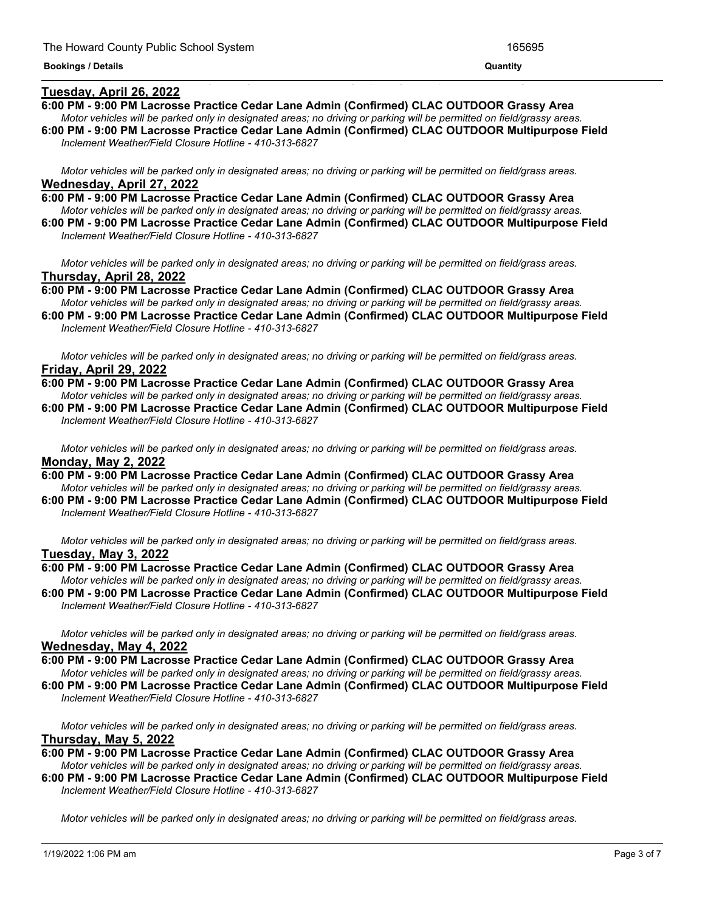# **Tuesday, April 26, 2022**

**6:00 PM - 9:00 PM Lacrosse Practice Cedar Lane Admin (Confirmed) CLAC OUTDOOR Grassy Area**

<u> 1999 - Jan James James James James James James James James James James James James James James James James J</u>

- Motor vehicles will be parked only in designated areas; no driving or parking will be permitted on field/grassy areas. **6:00 PM - 9:00 PM Lacrosse Practice Cedar Lane Admin (Confirmed) CLAC OUTDOOR Multipurpose Field**
- *Inclement Weather/Field Closure Hotline - 410-313-6827*

Motor vehicles will be parked only in designated areas; no driving or parking will be permitted on field/grass areas. **Wednesday, April 27, 2022**

- **6:00 PM - 9:00 PM Lacrosse Practice Cedar Lane Admin (Confirmed) CLAC OUTDOOR Grassy Area** Motor vehicles will be parked only in designated areas; no driving or parking will be permitted on field/grassy areas.
- **6:00 PM - 9:00 PM Lacrosse Practice Cedar Lane Admin (Confirmed) CLAC OUTDOOR Multipurpose Field** *Inclement Weather/Field Closure Hotline - 410-313-6827*

Motor vehicles will be parked only in designated areas; no driving or parking will be permitted on field/grass areas. **Thursday, April 28, 2022**

**6:00 PM - 9:00 PM Lacrosse Practice Cedar Lane Admin (Confirmed) CLAC OUTDOOR Grassy Area** Motor vehicles will be parked only in designated areas; no driving or parking will be permitted on field/grassy areas.

**6:00 PM - 9:00 PM Lacrosse Practice Cedar Lane Admin (Confirmed) CLAC OUTDOOR Multipurpose Field** *Inclement Weather/Field Closure Hotline - 410-313-6827*

Motor vehicles will be parked only in designated areas; no driving or parking will be permitted on field/grass areas. **Friday, April 29, 2022**

- **6:00 PM - 9:00 PM Lacrosse Practice Cedar Lane Admin (Confirmed) CLAC OUTDOOR Grassy Area** Motor vehicles will be parked only in designated areas; no driving or parking will be permitted on field/grassy areas. **6:00 PM - 9:00 PM Lacrosse Practice Cedar Lane Admin (Confirmed) CLAC OUTDOOR Multipurpose Field**
- *Inclement Weather/Field Closure Hotline - 410-313-6827*

Motor vehicles will be parked only in designated areas; no driving or parking will be permitted on field/grass areas. **Monday, May 2, 2022**

- **6:00 PM - 9:00 PM Lacrosse Practice Cedar Lane Admin (Confirmed) CLAC OUTDOOR Grassy Area** Motor vehicles will be parked only in designated areas; no driving or parking will be permitted on field/grassy areas.
- **6:00 PM - 9:00 PM Lacrosse Practice Cedar Lane Admin (Confirmed) CLAC OUTDOOR Multipurpose Field** *Inclement Weather/Field Closure Hotline - 410-313-6827*

Motor vehicles will be parked only in designated areas; no driving or parking will be permitted on field/grass areas. **Tuesday, May 3, 2022**

- **6:00 PM - 9:00 PM Lacrosse Practice Cedar Lane Admin (Confirmed) CLAC OUTDOOR Grassy Area** Motor vehicles will be parked only in designated areas; no driving or parking will be permitted on field/grassy areas.
- **6:00 PM - 9:00 PM Lacrosse Practice Cedar Lane Admin (Confirmed) CLAC OUTDOOR Multipurpose Field** *Inclement Weather/Field Closure Hotline - 410-313-6827*

Motor vehicles will be parked only in designated areas; no driving or parking will be permitted on field/grass areas. **Wednesday, May 4, 2022**

**6:00 PM - 9:00 PM Lacrosse Practice Cedar Lane Admin (Confirmed) CLAC OUTDOOR Grassy Area**

Motor vehicles will be parked only in designated areas; no driving or parking will be permitted on field/grassy areas. **6:00 PM - 9:00 PM Lacrosse Practice Cedar Lane Admin (Confirmed) CLAC OUTDOOR Multipurpose Field** *Inclement Weather/Field Closure Hotline - 410-313-6827*

Motor vehicles will be parked only in designated areas; no driving or parking will be permitted on field/grass areas. **Thursday, May 5, 2022**

**6:00 PM - 9:00 PM Lacrosse Practice Cedar Lane Admin (Confirmed) CLAC OUTDOOR Grassy Area**

Motor vehicles will be parked only in designated areas; no driving or parking will be permitted on field/grassy areas. **6:00 PM - 9:00 PM Lacrosse Practice Cedar Lane Admin (Confirmed) CLAC OUTDOOR Multipurpose Field** *Inclement Weather/Field Closure Hotline - 410-313-6827*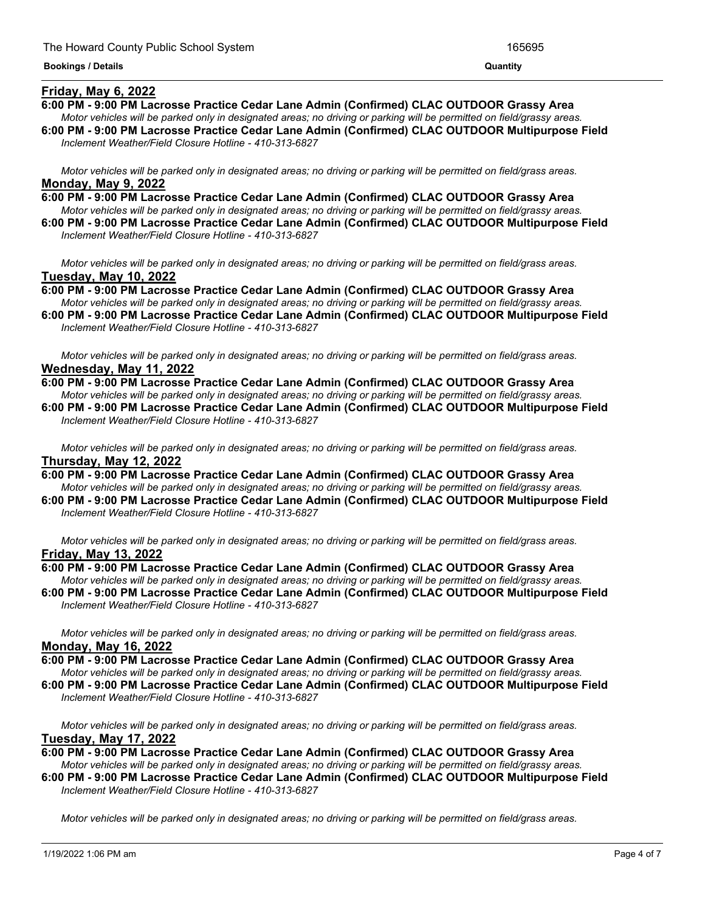# **Friday, May 6, 2022**

- **6:00 PM - 9:00 PM Lacrosse Practice Cedar Lane Admin (Confirmed) CLAC OUTDOOR Grassy Area**
- Motor vehicles will be parked only in designated areas; no driving or parking will be permitted on field/grassy areas. **6:00 PM - 9:00 PM Lacrosse Practice Cedar Lane Admin (Confirmed) CLAC OUTDOOR Multipurpose Field**

<u> 1989 - Andrea Andrew Maria (h. 1989).</u>

*Inclement Weather/Field Closure Hotline - 410-313-6827*

Motor vehicles will be parked only in designated areas; no driving or parking will be permitted on field/grass areas. **Monday, May 9, 2022**

- **6:00 PM - 9:00 PM Lacrosse Practice Cedar Lane Admin (Confirmed) CLAC OUTDOOR Grassy Area** Motor vehicles will be parked only in designated areas; no driving or parking will be permitted on field/grassy areas.
- **6:00 PM - 9:00 PM Lacrosse Practice Cedar Lane Admin (Confirmed) CLAC OUTDOOR Multipurpose Field** *Inclement Weather/Field Closure Hotline - 410-313-6827*

Motor vehicles will be parked only in designated areas; no driving or parking will be permitted on field/grass areas. **Tuesday, May 10, 2022**

**6:00 PM - 9:00 PM Lacrosse Practice Cedar Lane Admin (Confirmed) CLAC OUTDOOR Grassy Area** Motor vehicles will be parked only in designated areas; no driving or parking will be permitted on field/grassy areas.

**6:00 PM - 9:00 PM Lacrosse Practice Cedar Lane Admin (Confirmed) CLAC OUTDOOR Multipurpose Field** *Inclement Weather/Field Closure Hotline - 410-313-6827*

Motor vehicles will be parked only in designated areas; no driving or parking will be permitted on field/grass areas. **Wednesday, May 11, 2022**

**6:00 PM - 9:00 PM Lacrosse Practice Cedar Lane Admin (Confirmed) CLAC OUTDOOR Grassy Area** Motor vehicles will be parked only in designated areas; no driving or parking will be permitted on field/grassy areas. **6:00 PM - 9:00 PM Lacrosse Practice Cedar Lane Admin (Confirmed) CLAC OUTDOOR Multipurpose Field** *Inclement Weather/Field Closure Hotline - 410-313-6827*

Motor vehicles will be parked only in designated areas; no driving or parking will be permitted on field/grass areas. **Thursday, May 12, 2022**

**6:00 PM - 9:00 PM Lacrosse Practice Cedar Lane Admin (Confirmed) CLAC OUTDOOR Grassy Area** Motor vehicles will be parked only in designated areas; no driving or parking will be permitted on field/grassy areas. **6:00 PM - 9:00 PM Lacrosse Practice Cedar Lane Admin (Confirmed) CLAC OUTDOOR Multipurpose Field**

*Inclement Weather/Field Closure Hotline - 410-313-6827*

Motor vehicles will be parked only in designated areas: no driving or parking will be permitted on field/grass areas. **Friday, May 13, 2022**

- **6:00 PM - 9:00 PM Lacrosse Practice Cedar Lane Admin (Confirmed) CLAC OUTDOOR Grassy Area** Motor vehicles will be parked only in designated areas; no driving or parking will be permitted on field/grassy areas.
- **6:00 PM - 9:00 PM Lacrosse Practice Cedar Lane Admin (Confirmed) CLAC OUTDOOR Multipurpose Field** *Inclement Weather/Field Closure Hotline - 410-313-6827*

Motor vehicles will be parked only in designated areas; no driving or parking will be permitted on field/grass areas. **Monday, May 16, 2022**

**6:00 PM - 9:00 PM Lacrosse Practice Cedar Lane Admin (Confirmed) CLAC OUTDOOR Grassy Area**

Motor vehicles will be parked only in designated areas; no driving or parking will be permitted on field/grassy areas. **6:00 PM - 9:00 PM Lacrosse Practice Cedar Lane Admin (Confirmed) CLAC OUTDOOR Multipurpose Field** *Inclement Weather/Field Closure Hotline - 410-313-6827*

Motor vehicles will be parked only in designated areas; no driving or parking will be permitted on field/grass areas. **Tuesday, May 17, 2022**

**6:00 PM - 9:00 PM Lacrosse Practice Cedar Lane Admin (Confirmed) CLAC OUTDOOR Grassy Area**

Motor vehicles will be parked only in designated areas; no driving or parking will be permitted on field/grassy areas. **6:00 PM - 9:00 PM Lacrosse Practice Cedar Lane Admin (Confirmed) CLAC OUTDOOR Multipurpose Field** *Inclement Weather/Field Closure Hotline - 410-313-6827*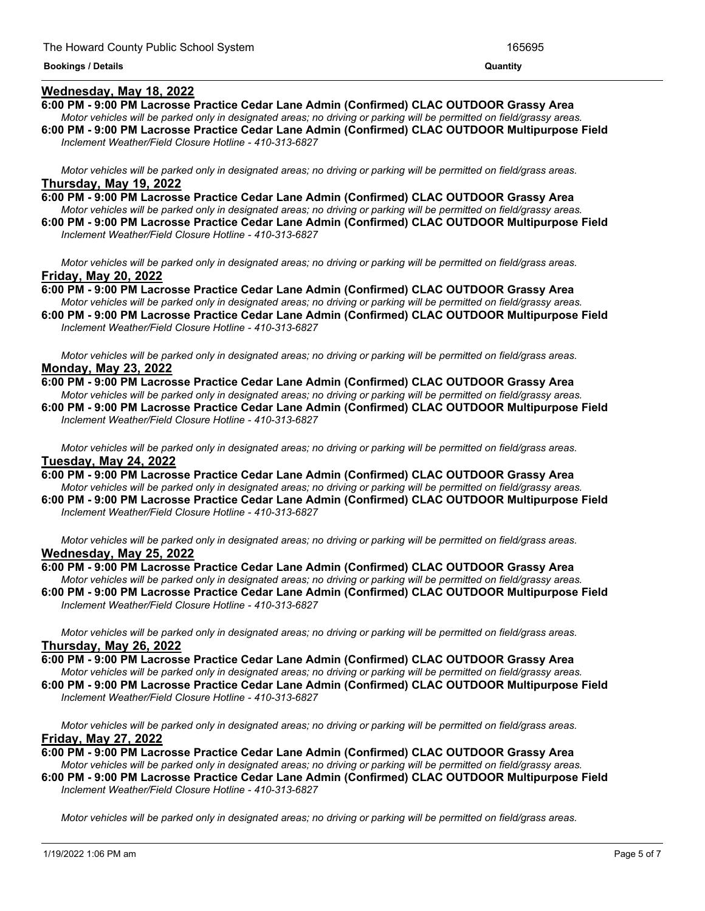#### **Wednesday, May 18, 2022**

- **6:00 PM - 9:00 PM Lacrosse Practice Cedar Lane Admin (Confirmed) CLAC OUTDOOR Grassy Area** Motor vehicles will be parked only in designated areas; no driving or parking will be permitted on field/grassy areas.
- **6:00 PM - 9:00 PM Lacrosse Practice Cedar Lane Admin (Confirmed) CLAC OUTDOOR Multipurpose Field** *Inclement Weather/Field Closure Hotline - 410-313-6827*

Motor vehicles will be parked only in designated areas; no driving or parking will be permitted on field/grass areas. **Thursday, May 19, 2022**

**6:00 PM - 9:00 PM Lacrosse Practice Cedar Lane Admin (Confirmed) CLAC OUTDOOR Grassy Area** Motor vehicles will be parked only in designated areas; no driving or parking will be permitted on field/grassy areas.

**6:00 PM - 9:00 PM Lacrosse Practice Cedar Lane Admin (Confirmed) CLAC OUTDOOR Multipurpose Field** *Inclement Weather/Field Closure Hotline - 410-313-6827*

Motor vehicles will be parked only in designated areas; no driving or parking will be permitted on field/grass areas. **Friday, May 20, 2022**

**6:00 PM - 9:00 PM Lacrosse Practice Cedar Lane Admin (Confirmed) CLAC OUTDOOR Grassy Area** Motor vehicles will be parked only in designated areas; no driving or parking will be permitted on field/grassy areas.

**6:00 PM - 9:00 PM Lacrosse Practice Cedar Lane Admin (Confirmed) CLAC OUTDOOR Multipurpose Field** *Inclement Weather/Field Closure Hotline - 410-313-6827*

Motor vehicles will be parked only in designated areas; no driving or parking will be permitted on field/grass areas. **Monday, May 23, 2022**

**6:00 PM - 9:00 PM Lacrosse Practice Cedar Lane Admin (Confirmed) CLAC OUTDOOR Grassy Area** Motor vehicles will be parked only in designated areas; no driving or parking will be permitted on field/grassy areas. **6:00 PM - 9:00 PM Lacrosse Practice Cedar Lane Admin (Confirmed) CLAC OUTDOOR Multipurpose Field** *Inclement Weather/Field Closure Hotline - 410-313-6827*

Motor vehicles will be parked only in designated areas; no driving or parking will be permitted on field/grass areas. **Tuesday, May 24, 2022**

**6:00 PM - 9:00 PM Lacrosse Practice Cedar Lane Admin (Confirmed) CLAC OUTDOOR Grassy Area** Motor vehicles will be parked only in designated areas; no driving or parking will be permitted on field/grassy areas. **6:00 PM - 9:00 PM Lacrosse Practice Cedar Lane Admin (Confirmed) CLAC OUTDOOR Multipurpose Field**

*Inclement Weather/Field Closure Hotline - 410-313-6827*

Motor vehicles will be parked only in designated areas; no driving or parking will be permitted on field/grass areas. **Wednesday, May 25, 2022**

**6:00 PM - 9:00 PM Lacrosse Practice Cedar Lane Admin (Confirmed) CLAC OUTDOOR Grassy Area** Motor vehicles will be parked only in designated areas; no driving or parking will be permitted on field/grassy areas. **6:00 PM - 9:00 PM Lacrosse Practice Cedar Lane Admin (Confirmed) CLAC OUTDOOR Multipurpose Field**

*Inclement Weather/Field Closure Hotline - 410-313-6827*

Motor vehicles will be parked only in designated areas; no driving or parking will be permitted on field/grass areas. **Thursday, May 26, 2022**

**6:00 PM - 9:00 PM Lacrosse Practice Cedar Lane Admin (Confirmed) CLAC OUTDOOR Grassy Area**

Motor vehicles will be parked only in designated areas; no driving or parking will be permitted on field/grassy areas. **6:00 PM - 9:00 PM Lacrosse Practice Cedar Lane Admin (Confirmed) CLAC OUTDOOR Multipurpose Field** *Inclement Weather/Field Closure Hotline - 410-313-6827*

Motor vehicles will be parked only in designated areas; no driving or parking will be permitted on field/grass areas. **Friday, May 27, 2022**

**6:00 PM - 9:00 PM Lacrosse Practice Cedar Lane Admin (Confirmed) CLAC OUTDOOR Grassy Area** Motor vehicles will be parked only in designated areas; no driving or parking will be permitted on field/grassy areas.

**6:00 PM - 9:00 PM Lacrosse Practice Cedar Lane Admin (Confirmed) CLAC OUTDOOR Multipurpose Field** *Inclement Weather/Field Closure Hotline - 410-313-6827*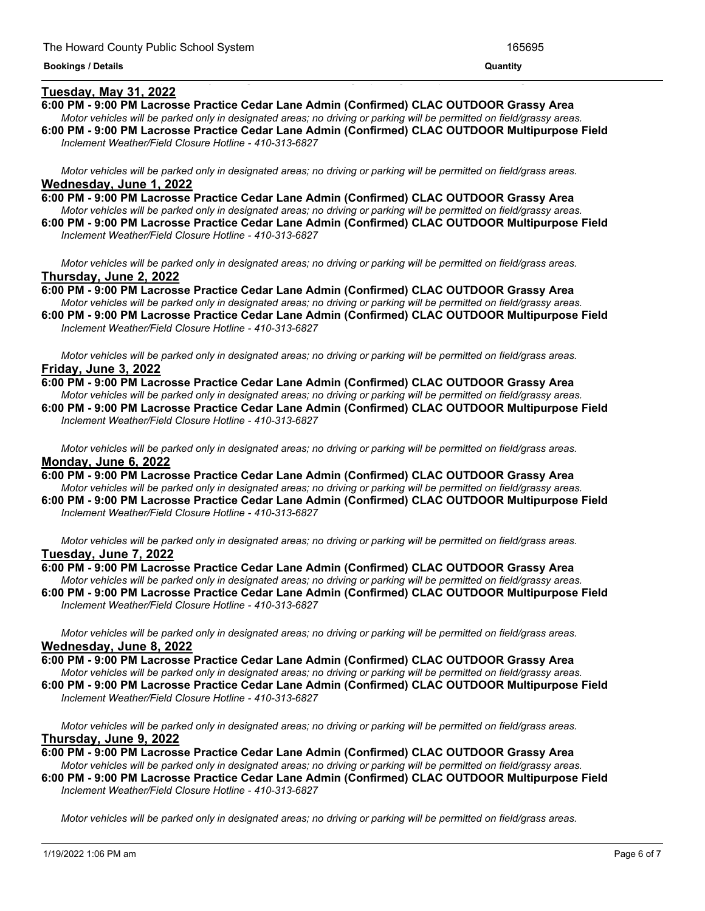# **Tuesday, May 31, 2022**

# **6:00 PM - 9:00 PM Lacrosse Practice Cedar Lane Admin (Confirmed) CLAC OUTDOOR Grassy Area**

<u> 1989 - Andrea Andrea Andrea Andrea Andrea Andrea Andrea Andrea Andrea Andrea Andrea Andrea Andrea Andrea Andr</u>

- Motor vehicles will be parked only in designated areas; no driving or parking will be permitted on field/grassy areas. **6:00 PM - 9:00 PM Lacrosse Practice Cedar Lane Admin (Confirmed) CLAC OUTDOOR Multipurpose Field**
- *Inclement Weather/Field Closure Hotline - 410-313-6827*

Motor vehicles will be parked only in designated areas; no driving or parking will be permitted on field/grass areas. **Wednesday, June 1, 2022**

- **6:00 PM - 9:00 PM Lacrosse Practice Cedar Lane Admin (Confirmed) CLAC OUTDOOR Grassy Area** Motor vehicles will be parked only in designated areas; no driving or parking will be permitted on field/grassy areas.
- **6:00 PM - 9:00 PM Lacrosse Practice Cedar Lane Admin (Confirmed) CLAC OUTDOOR Multipurpose Field** *Inclement Weather/Field Closure Hotline - 410-313-6827*

Motor vehicles will be parked only in designated areas; no driving or parking will be permitted on field/grass areas. **Thursday, June 2, 2022**

**6:00 PM - 9:00 PM Lacrosse Practice Cedar Lane Admin (Confirmed) CLAC OUTDOOR Grassy Area** Motor vehicles will be parked only in designated areas; no driving or parking will be permitted on field/grassy areas.

**6:00 PM - 9:00 PM Lacrosse Practice Cedar Lane Admin (Confirmed) CLAC OUTDOOR Multipurpose Field** *Inclement Weather/Field Closure Hotline - 410-313-6827*

Motor vehicles will be parked only in designated areas; no driving or parking will be permitted on field/grass areas. **Friday, June 3, 2022**

**6:00 PM - 9:00 PM Lacrosse Practice Cedar Lane Admin (Confirmed) CLAC OUTDOOR Grassy Area** Motor vehicles will be parked only in designated areas; no driving or parking will be permitted on field/grassy areas. **6:00 PM - 9:00 PM Lacrosse Practice Cedar Lane Admin (Confirmed) CLAC OUTDOOR Multipurpose Field** *Inclement Weather/Field Closure Hotline - 410-313-6827*

Motor vehicles will be parked only in designated areas; no driving or parking will be permitted on field/grass areas. **Monday, June 6, 2022**

**6:00 PM - 9:00 PM Lacrosse Practice Cedar Lane Admin (Confirmed) CLAC OUTDOOR Grassy Area** Motor vehicles will be parked only in designated areas; no driving or parking will be permitted on field/grassy areas.

**6:00 PM - 9:00 PM Lacrosse Practice Cedar Lane Admin (Confirmed) CLAC OUTDOOR Multipurpose Field** *Inclement Weather/Field Closure Hotline - 410-313-6827*

Motor vehicles will be parked only in designated areas; no driving or parking will be permitted on field/grass areas. **Tuesday, June 7, 2022**

**6:00 PM - 9:00 PM Lacrosse Practice Cedar Lane Admin (Confirmed) CLAC OUTDOOR Grassy Area** Motor vehicles will be parked only in designated areas; no driving or parking will be permitted on field/grassy areas.

**6:00 PM - 9:00 PM Lacrosse Practice Cedar Lane Admin (Confirmed) CLAC OUTDOOR Multipurpose Field** *Inclement Weather/Field Closure Hotline - 410-313-6827*

Motor vehicles will be parked only in designated areas; no driving or parking will be permitted on field/grass areas. **Wednesday, June 8, 2022**

**6:00 PM - 9:00 PM Lacrosse Practice Cedar Lane Admin (Confirmed) CLAC OUTDOOR Grassy Area**

Motor vehicles will be parked only in designated areas; no driving or parking will be permitted on field/grassy areas. **6:00 PM - 9:00 PM Lacrosse Practice Cedar Lane Admin (Confirmed) CLAC OUTDOOR Multipurpose Field** *Inclement Weather/Field Closure Hotline - 410-313-6827*

Motor vehicles will be parked only in designated areas; no driving or parking will be permitted on field/grass areas. **Thursday, June 9, 2022**

**6:00 PM - 9:00 PM Lacrosse Practice Cedar Lane Admin (Confirmed) CLAC OUTDOOR Grassy Area**

Motor vehicles will be parked only in designated areas; no driving or parking will be permitted on field/grassy areas. **6:00 PM - 9:00 PM Lacrosse Practice Cedar Lane Admin (Confirmed) CLAC OUTDOOR Multipurpose Field** *Inclement Weather/Field Closure Hotline - 410-313-6827*